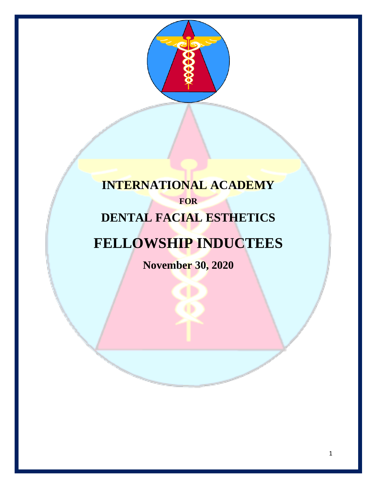

### **INTERNATIONAL ACADEMY FOR DENTAL FACIAL ESTHETICS**

# **FELLOWSHIP INDUCTEES**

**November 30, 2020**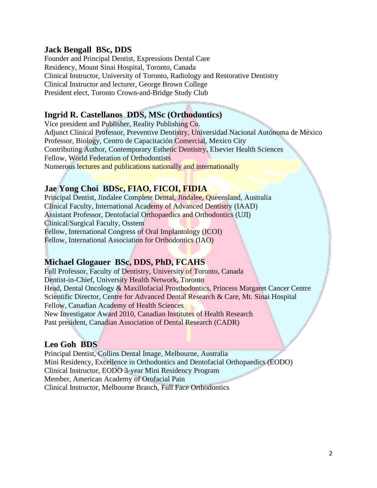#### **Jack Bengall BSc, DDS**

Founder and Principal Dentist, Expressions Dental Care Residency, Mount Sinai Hospital, Toronto, Canada Clinical Instructor, University of Toronto, Radiology and Restorative Dentistry Clinical Instructor and lecturer, George Brown College President elect, Toronto Crown-and-Bridge Study Club

#### **Ingrid R. Castellanos DDS, MSc (Orthodontics)**

Vice president and Publisher, Reality Publishing Co. Adjunct Clinical Professor, Preventive Dentistry, Universidad Nacional Autónoma de México Professor, Biology, Centro de Capacitación Comercial, Mexico City Contributing Author, Contemporary Esthetic Dentistry, Elsevier Health Sciences Fellow, World Federation of Orthodontists Numerous lectures and publications nationally and internationally

#### **Jae Yong Choi BDSc, FIAO, FICOI, FIDIA**

Principal Dentist, Jindalee Complete Dental, Jindalee, Queensland, Australia Clinical Faculty, International Academy of Advanced Dentistry (IAAD) Assistant Professor, Dentofacial Orthopaedics and Orthodontics (UJI) Clinical/Surgical Faculty, Osstem Fellow, International Congress of Oral Implantology (ICOI) Fellow, International Association for Orthodontics (IAO)

#### **Michael Glogauer BSc, DDS, PhD, FCAHS**

Full Professor, Faculty of Dentistry, University of Toronto, Canada Dentist-in-Chief, University Health Network, Toronto Head, Dental Oncology & Maxillofacial Prosthodontics, Princess Margaret Cancer Centre Scientific Director, Centre for Advanced Dental Research & Care, Mt. Sinai Hospital Fellow, Canadian Academy of Health Sciences New Investigator Award 2010, Canadian Institutes of Health Research Past president, Canadian Association of Dental Research (CADR)

#### **Leo Goh BDS**

Principal Dentist, Collins Dental Image, Melbourne, Australia Mini Residency, Excellence in Orthodontics and Dentofacial Orthopaedics (EODO) Clinical Instructor, EODO 3-year Mini Residency Program Member, American Academy of Orofacial Pain Clinical Instructor, Melbourne Branch, Full Face Orthodontics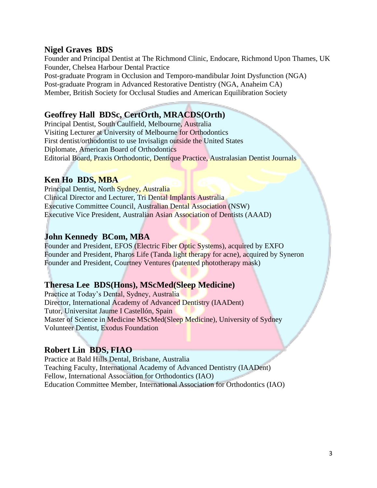#### **Nigel Graves BDS**

Founder and Principal Dentist at The Richmond Clinic, Endocare, Richmond Upon Thames, UK Founder, Chelsea Harbour Dental Practice Post-graduate Program in Occlusion and Temporo-mandibular Joint Dysfunction (NGA) Post-graduate Program in Advanced Restorative Dentistry (NGA, Anaheim CA) Member, British Society for Occlusal Studies and American Equilibration Society

#### **Geoffrey Hall BDSc, CertOrth, MRACDS(Orth)**

Principal Dentist, South Caulfield, Melbourne, Australia Visiting Lecturer at University of Melbourne for Orthodontics First dentist/orthodontist to use Invisalign outside the United States Diplomate, American Board of Orthodontics Editorial Board, Praxis Orthodontic, Dentique Practice, Australasian Dentist Journals

#### **Ken Ho BDS, MBA**

Principal Dentist, North Sydney, Australia Clinical Director and Lecturer, Tri Dental Implants Australia Executive Committee Council, Australian Dental Association (NSW) Executive Vice President, Australian Asian Association of Dentists (AAAD)

#### **John Kennedy BCom, MBA**

Founder and President, EFOS (Electric Fiber Optic Systems), acquired by EXFO Founder and President, Pharos Life (Tanda light therapy for acne), acquired by Syneron Founder and President, Courtney Ventures (patented phototherapy mask)

#### **Theresa Lee BDS(Hons), MScMed(Sleep Medicine)**

Practice at Today's Dental, Sydney, Australia Director, International Academy of Advanced Dentistry (IAADent) Tutor, Universitat Jaume I Castellón, Spain Master of Science in Medicine MScMed(Sleep Medicine), University of Sydney Volunteer Dentist, Exodus Foundation

#### **Robert Lin BDS, FIAO**

Practice at Bald Hills Dental, Brisbane, Australia Teaching Faculty, International Academy of Advanced Dentistry (IAADent) Fellow, International Association for Orthodontics (IAO) Education Committee Member, International Association for Orthodontics (IAO)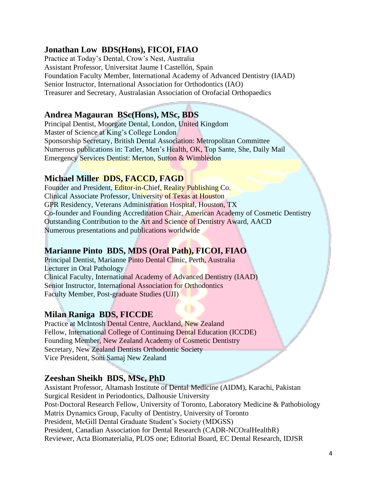#### **Jonathan Low BDS(Hons), FICOI, FIAO**

Practice at Today's Dental, Crow's Nest, Australia Assistant Professor, Universitat Jaume I Castellón, Spain Foundation Faculty Member, International Academy of Advanced Dentistry (IAAD) Senior Instructor, International Association for Orthodontics (IAO) Treasurer and Secretary, Australasian Association of Orofacial Orthopaedics

#### **Andrea Magauran BSc(Hons), MSc, BDS**

Principal Dentist, Moorgate Dental, London, United Kingdom Master of Science at King's College London Sponsorship Secretary, British Dental Association: Metropolitan Committee Numerous publications in: Tatler, Men's Health, OK, Top Sante, She, Daily Mail Emergency Services Dentist: Merton, Sutton & Wimbledon

#### **Michael Miller DDS, FACCD, FAGD**

Founder and President, Editor-in-Chief, Reality Publishing Co. Clinical Associate Professor, University of Texas at Houston GPR Residency, Veterans Administration Hospital, Houston, TX Co-founder and Founding Accreditation Chair, American Academy of Cosmetic Dentistry Outstanding Contribution to the Art and Science of Dentistry Award, AACD Numerous presentations and publications worldwide

#### **Marianne Pinto BDS, MDS (Oral Path), FICOI, FIAO**

Principal Dentist, Marianne Pinto Dental Clinic, Perth, Australia Lecturer in Oral Pathology Clinical Faculty, International Academy of Advanced Dentistry (IAAD) Senior Instructor, International Association for Orthodontics Faculty Member, Post-graduate Studies (UJI)

#### **Milan Raniga BDS, FICCDE**

Practice at McIntosh Dental Centre, Auckland, New Zealand Fellow, International College of Continuing Dental Education (ICCDE) Founding Member, New Zealand Academy of Cosmetic Dentistry Secretary, New Zealand Dentists Orthodontic Society Vice President, Soni Samaj New Zealand

#### **Zeeshan Sheikh BDS, MSc, PhD**

Assistant Professor, Altamash Institute of Dental Medicine (AIDM), Karachi, Pakistan Surgical Resident in Periodontics, Dalhousie University Post-Doctoral Research Fellow, University of Toronto, Laboratory Medicine & Pathobiology Matrix Dynamics Group, Faculty of Dentistry, University of Toronto President, McGill Dental Graduate Student's Society (MDGSS) President, Canadian Association for Dental Research (CADR-NCOralHealthR) Reviewer, Acta Biomaterialia, PLOS one; Editorial Board, EC Dental Research, IDJSR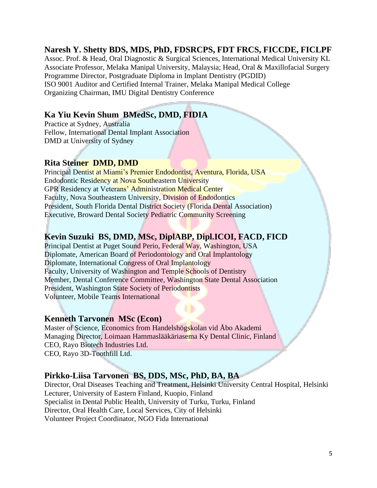#### **Naresh Y. Shetty BDS, MDS, PhD, FDSRCPS, FDT FRCS, FICCDE, FICLPF**

Assoc. Prof. & Head, Oral Diagnostic & Surgical Sciences, International Medical University KL Associate Professor, Melaka Manipal University, Malaysia; Head, Oral & Maxillofacial Surgery Programme Director, Postgraduate Diploma in Implant Dentistry (PGDID) ISO 9001 Auditor and Certified Internal Trainer, Melaka Manipal Medical College Organizing Chairman, IMU Digital Dentistry Conference

#### **Ka Yiu Kevin Shum BMedSc, DMD, FIDIA**

Practice at Sydney, Australia Fellow, International Dental Implant Association DMD at University of Sydney

#### **Rita Steiner DMD, DMD**

Principal Dentist at Miami's Premier Endodontist, Aventura, Florida, USA Endodontic Residency at Nova Southeastern University GPR Residency at Veterans' Administration Medical Center Faculty, Nova Southeastern University, Division of Endodontics President, South Florida Dental District Society (Florida Dental Association) Executive, Broward Dental Society Pediatric Community Screening

#### **Kevin Suzuki BS, DMD, MSc, DiplABP, Dipl.ICOI, FACD, FICD**

Principal Dentist at Puget Sound Perio, Federal Way, Washington, USA Diplomate, American Board of Periodontology and Oral Implantology Diplomate, International Congress of Oral Implantology Faculty, University of Washington and Temple Schools of Dentistry Member, Dental Conference Committee, Washington State Dental Association President, Washington State Society of Periodontists Volunteer, Mobile Teams International

#### **Kenneth Tarvonen MSc (Econ)**

Master of Science, Economics from Handelshögskolan vid Åbo Akademi Managing Director, Loimaan Hammaslääkäriasema Ky Dental Clinic, Finland CEO, Rayo Biotech Industries Ltd. CEO, Rayo 3D-Toothfill Ltd.

#### **Pirkko-Liisa Tarvonen BS, DDS, MSc, PhD, BA, BA**

Director, Oral Diseases Teaching and Treatment, Helsinki University Central Hospital, Helsinki Lecturer, University of Eastern Finland, Kuopio, Finland Specialist in Dental Public Health, University of Turku, Turku, Finland Director, Oral Health Care, Local Services, City of Helsinki Volunteer Project Coordinator, NGO Fida International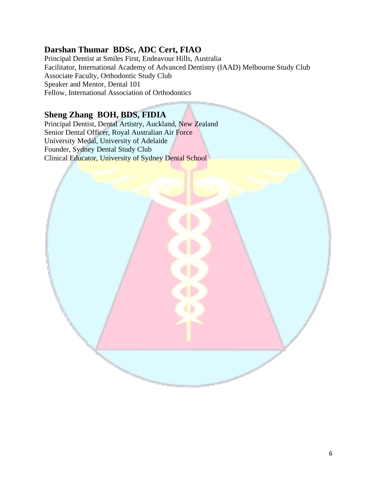#### **Darshan Thumar BDSc, ADC Cert, FIAO**

Principal Dentist at Smiles First, Endeavour Hills, Australia Facilitator, International Academy of Advanced Dentistry (IAAD) Melbourne Study Club Associate Faculty, Orthodontic Study Club Speaker and Mentor, Dental 101 Fellow, International Association of Orthodontics

#### **Sheng Zhang BOH, BDS, FIDIA**

Principal Dentist, Dental Artistry, Auckland, New Zealand Senior Dental Officer, Royal Australian Air Force University Medal, University of Adelaide Founder, Sydney Dental Study Club Clinical Educator, University of Sydney Dental School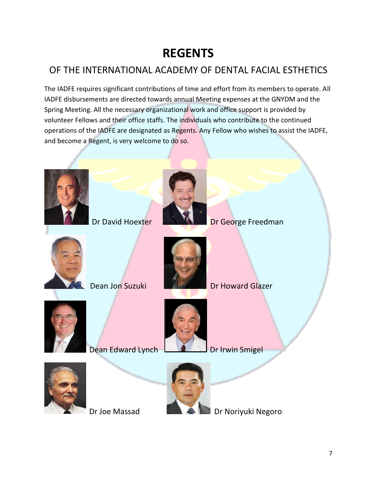## **REGENTS**

### OF THE INTERNATIONAL ACADEMY OF DENTAL FACIAL ESTHETICS

The IADFE requires significant contributions of time and effort from its members to operate. All IADFE disbursements are directed towards annual Meeting expenses at the GNYDM and the Spring Meeting. All the necessary organizational work and office support is provided by volunteer Fellows and their office staffs. The individuals who contribute to the continued operations of the IADFE are designated as Regents. Any Fellow who wishes to assist the IADFE, and become a Regent, is very welcome to do so.